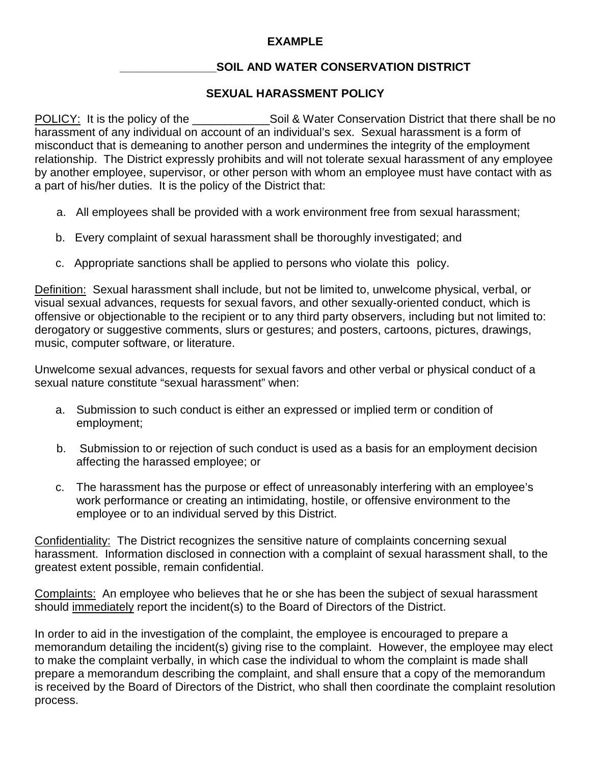## **EXAMPLE**

## **\_\_\_\_\_\_\_\_\_\_\_\_\_\_\_SOIL AND WATER CONSERVATION DISTRICT**

## **SEXUAL HARASSMENT POLICY**

POLICY: It is the policy of the state of the shall be no soil & Water Conservation District that there shall be no harassment of any individual on account of an individual's sex. Sexual harassment is a form of misconduct that is demeaning to another person and undermines the integrity of the employment relationship. The District expressly prohibits and will not tolerate sexual harassment of any employee by another employee, supervisor, or other person with whom an employee must have contact with as a part of his/her duties. It is the policy of the District that:

- a. All employees shall be provided with a work environment free from sexual harassment;
- b. Every complaint of sexual harassment shall be thoroughly investigated; and
- c. Appropriate sanctions shall be applied to persons who violate this policy.

Definition: Sexual harassment shall include, but not be limited to, unwelcome physical, verbal, or visual sexual advances, requests for sexual favors, and other sexually-oriented conduct, which is offensive or objectionable to the recipient or to any third party observers, including but not limited to: derogatory or suggestive comments, slurs or gestures; and posters, cartoons, pictures, drawings, music, computer software, or literature.

Unwelcome sexual advances, requests for sexual favors and other verbal or physical conduct of a sexual nature constitute "sexual harassment" when:

- a. Submission to such conduct is either an expressed or implied term or condition of employment;
- b. Submission to or rejection of such conduct is used as a basis for an employment decision affecting the harassed employee; or
- c. The harassment has the purpose or effect of unreasonably interfering with an employee's work performance or creating an intimidating, hostile, or offensive environment to the employee or to an individual served by this District.

Confidentiality: The District recognizes the sensitive nature of complaints concerning sexual harassment. Information disclosed in connection with a complaint of sexual harassment shall, to the greatest extent possible, remain confidential.

Complaints: An employee who believes that he or she has been the subject of sexual harassment should immediately report the incident(s) to the Board of Directors of the District.

In order to aid in the investigation of the complaint, the employee is encouraged to prepare a memorandum detailing the incident(s) giving rise to the complaint. However, the employee may elect to make the complaint verbally, in which case the individual to whom the complaint is made shall prepare a memorandum describing the complaint, and shall ensure that a copy of the memorandum is received by the Board of Directors of the District, who shall then coordinate the complaint resolution process.